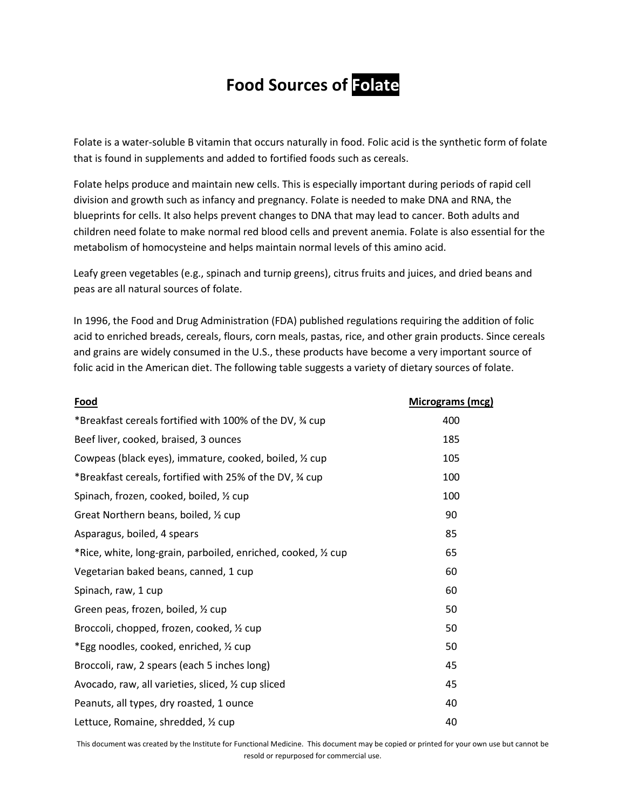## **Food Sources of Folate**

[Folate](http://ods.od.nih.gov/factsheets/showterm.aspx?tID=221) is [a water-soluble](http://ods.od.nih.gov/factsheets/showterm.aspx?tID=618) [B vitamin](http://ods.od.nih.gov/factsheets/showterm.aspx?tID=578) that occurs naturally in food[. Folic acid](http://ods.od.nih.gov/factsheets/showterm.aspx?tID=222) is the [synthetic](http://ods.od.nih.gov/factsheets/showterm.aspx?tID=341) form of folate that is found in [supplements](http://ods.od.nih.gov/factsheets/showterm.aspx?tID=135) and added to [fortified](http://ods.od.nih.gov/factsheets/showterm.aspx?tID=223) foods such as cereals.

Folate helps produce and maintain new [cells.](http://ods.od.nih.gov/factsheets/showterm.aspx?tID=205) This is especially important during periods of rapid [cell](http://ods.od.nih.gov/factsheets/showterm.aspx?tID=267)  [division](http://ods.od.nih.gov/factsheets/showterm.aspx?tID=267) and growth such as infancy and pregnancy. Folate is needed to mak[e DNA](http://ods.od.nih.gov/factsheets/showterm.aspx?tID=585) an[d RNA,](http://ods.od.nih.gov/factsheets/showterm.aspx?tID=596) the blueprints for cells. It also helps prevent changes to DNA that may lead to [cancer.](http://ods.od.nih.gov/factsheets/showterm.aspx?tID=581) Both adults and children need folate to make normal [red blood cells](http://ods.od.nih.gov/factsheets/showterm.aspx?tID=248) and prevent anemia. Folate is also essential for the [metabolism](http://ods.od.nih.gov/factsheets/showterm.aspx?tID=233) of [homocysteine](http://ods.od.nih.gov/factsheets/showterm.aspx?tID=227) and helps maintain normal levels of this [amino acid.](http://ods.od.nih.gov/factsheets/showterm.aspx?tID=112)

Leafy green vegetables (e.g., spinach and turnip greens), citrus fruits and juices, and dried beans and peas are all natural sources of folate.

In 1996, the [Food and Drug Administration](http://ods.od.nih.gov/factsheets/showterm.aspx?tID=190) (FDA) published regulations requiring the addition of folic acid t[o enriched](http://ods.od.nih.gov/factsheets/showterm.aspx?tID=587) breads, cereals, flours, corn meals, pastas, rice, and other grain products. Since cereals and grains are widely consumed in the U.S., these products have become a very important source of folic acid in the American diet. The following table suggests a variety of dietary sources of folate.

| Food                                                           | Micrograms (mcg) |
|----------------------------------------------------------------|------------------|
| *Breakfast cereals fortified with 100% of the DV, 3⁄4 cup      | 400              |
| Beef liver, cooked, braised, 3 ounces                          | 185              |
| Cowpeas (black eyes), immature, cooked, boiled, 1/2 cup        | 105              |
| *Breakfast cereals, fortified with 25% of the DV, % cup        | 100              |
| Spinach, frozen, cooked, boiled, 1/2 cup                       | 100              |
| Great Northern beans, boiled, 1/2 cup                          | 90               |
| Asparagus, boiled, 4 spears                                    | 85               |
| *Rice, white, long-grain, parboiled, enriched, cooked, 1/2 cup | 65               |
| Vegetarian baked beans, canned, 1 cup                          | 60               |
| Spinach, raw, 1 cup                                            | 60               |
| Green peas, frozen, boiled, 1/2 cup                            | 50               |
| Broccoli, chopped, frozen, cooked, 1/2 cup                     | 50               |
| *Egg noodles, cooked, enriched, 1/2 cup                        | 50               |
| Broccoli, raw, 2 spears (each 5 inches long)                   | 45               |
| Avocado, raw, all varieties, sliced, 1/2 cup sliced            | 45               |
| Peanuts, all types, dry roasted, 1 ounce                       | 40               |
| Lettuce, Romaine, shredded, 1/2 cup                            | 40               |

This document was created by the Institute for Functional Medicine. This document may be copied or printed for your own use but cannot be resold or repurposed for commercial use.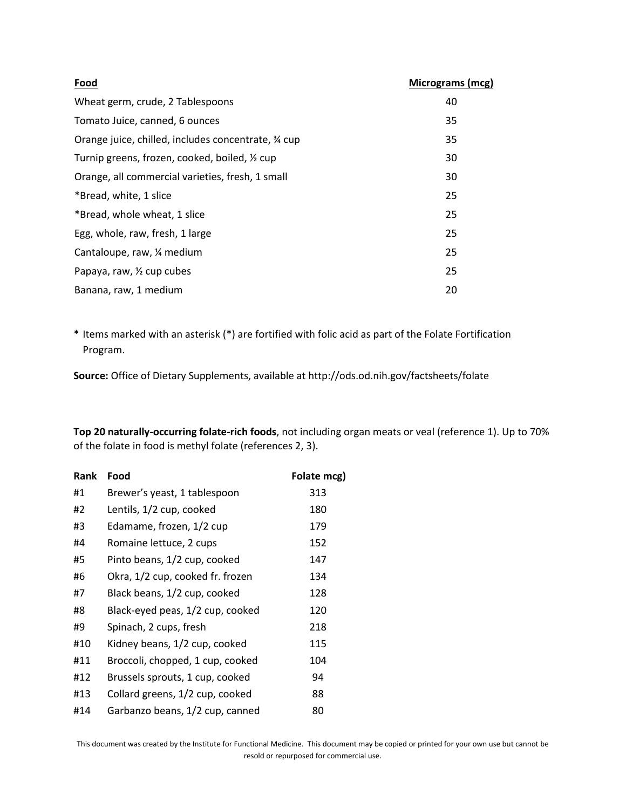| Food                                                | Micrograms (mcg) |
|-----------------------------------------------------|------------------|
| Wheat germ, crude, 2 Tablespoons                    | 40               |
| Tomato Juice, canned, 6 ounces                      | 35               |
| Orange juice, chilled, includes concentrate, 34 cup | 35               |
| Turnip greens, frozen, cooked, boiled, 1/2 cup      | 30               |
| Orange, all commercial varieties, fresh, 1 small    | 30               |
| *Bread, white, 1 slice                              | 25               |
| *Bread, whole wheat, 1 slice                        | 25               |
| Egg, whole, raw, fresh, 1 large                     | 25               |
| Cantaloupe, raw, 1/4 medium                         | 25               |
| Papaya, raw, 1/2 cup cubes                          | 25               |
| Banana, raw, 1 medium                               | 20               |

\* Items marked with an asterisk (\*) are fortified with folic acid as part of the Folate Fortification Program.

**Source:** Office of Dietary Supplements, available a[t http://ods.od.nih.gov/factsheets/folate](http://ods.od.nih.gov/factsheets/folate)

**Top 20 naturally-occurring folate-rich foods**, not including organ meats or veal (reference 1). Up to 70% of the folate in food is methyl folate (references 2, 3).

| Rank | Food                             | Folate mcg) |
|------|----------------------------------|-------------|
| #1   | Brewer's yeast, 1 tablespoon     | 313         |
| #2   | Lentils, 1/2 cup, cooked         | 180         |
| #3   | Edamame, frozen, 1/2 cup         | 179         |
| #4   | Romaine lettuce, 2 cups          | 152         |
| #5   | Pinto beans, 1/2 cup, cooked     | 147         |
| #6   | Okra, 1/2 cup, cooked fr. frozen | 134         |
| #7   | Black beans, 1/2 cup, cooked     | 128         |
| #8   | Black-eyed peas, 1/2 cup, cooked | 120         |
| #9   | Spinach, 2 cups, fresh           | 218         |
| #10  | Kidney beans, 1/2 cup, cooked    | 115         |
| #11  | Broccoli, chopped, 1 cup, cooked | 104         |
| #12  | Brussels sprouts, 1 cup, cooked  | 94          |
| #13  | Collard greens, 1/2 cup, cooked  | 88          |
| #14  | Garbanzo beans, 1/2 cup, canned  | 80          |

This document was created by the Institute for Functional Medicine. This document may be copied or printed for your own use but cannot be resold or repurposed for commercial use.